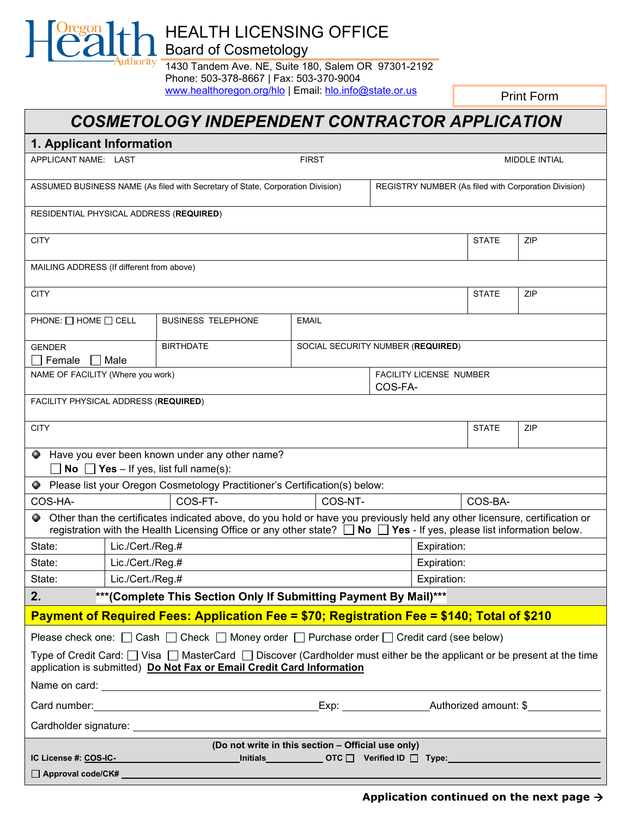HEALTH LICENSING OFFICE Board of Cosmetology

 $\mathbb{R}$ 

:hority

1430 Tandem Ave. NE, Suite 180, Salem OR 97301-2192 Phone: 503-378-8667 | Fax: 503-370-9004 [www.healthoregon.org/hlo](http://www.healthoregon.org/hlo) | Email: [hlo.info@state.or.us](mailto:hlo.info@state.or.us)

Print Form

# *COSMETOLOGY INDEPENDENT CONTRACTOR APPLICATION*

| 1. Applicant Information                                                                                                                                                                                                                                            |                                                                  |                                                                                                                    |                                   |                                                      |              |              |     |
|---------------------------------------------------------------------------------------------------------------------------------------------------------------------------------------------------------------------------------------------------------------------|------------------------------------------------------------------|--------------------------------------------------------------------------------------------------------------------|-----------------------------------|------------------------------------------------------|--------------|--------------|-----|
| APPLICANT NAME: LAST                                                                                                                                                                                                                                                |                                                                  |                                                                                                                    | <b>FIRST</b>                      | MIDDLE INTIAL                                        |              |              |     |
| ASSUMED BUSINESS NAME (As filed with Secretary of State, Corporation Division)                                                                                                                                                                                      |                                                                  |                                                                                                                    |                                   | REGISTRY NUMBER (As filed with Corporation Division) |              |              |     |
| RESIDENTIAL PHYSICAL ADDRESS (REQUIRED)                                                                                                                                                                                                                             |                                                                  |                                                                                                                    |                                   |                                                      |              |              |     |
| <b>CITY</b>                                                                                                                                                                                                                                                         |                                                                  |                                                                                                                    |                                   |                                                      | <b>STATE</b> | ZIP          |     |
| MAILING ADDRESS (If different from above)                                                                                                                                                                                                                           |                                                                  |                                                                                                                    |                                   |                                                      |              |              |     |
| <b>CITY</b>                                                                                                                                                                                                                                                         |                                                                  |                                                                                                                    |                                   |                                                      |              | <b>STATE</b> | ZIP |
| PHONE: $\Box$ HOME $\Box$ CELL                                                                                                                                                                                                                                      |                                                                  | <b>BUSINESS TELEPHONE</b>                                                                                          | <b>EMAIL</b>                      |                                                      |              |              |     |
| <b>GENDER</b><br>Female                                                                                                                                                                                                                                             | Male                                                             | <b>BIRTHDATE</b>                                                                                                   | SOCIAL SECURITY NUMBER (REQUIRED) |                                                      |              |              |     |
| NAME OF FACILITY (Where you work)                                                                                                                                                                                                                                   |                                                                  |                                                                                                                    |                                   | FACILITY LICENSE NUMBER<br>COS-FA-                   |              |              |     |
| FACILITY PHYSICAL ADDRESS (REQUIRED)                                                                                                                                                                                                                                |                                                                  |                                                                                                                    |                                   |                                                      |              |              |     |
| <b>CITY</b>                                                                                                                                                                                                                                                         |                                                                  |                                                                                                                    |                                   |                                                      |              | <b>STATE</b> | ZIP |
| Have you ever been known under any other name?<br>Ф.<br><b>No</b> $\Box$ <b>Yes</b> – If yes, list full name(s):                                                                                                                                                    |                                                                  |                                                                                                                    |                                   |                                                      |              |              |     |
|                                                                                                                                                                                                                                                                     |                                                                  | ● Please list your Oregon Cosmetology Practitioner's Certification(s) below:                                       |                                   |                                                      |              |              |     |
| COS-HA-                                                                                                                                                                                                                                                             |                                                                  | COS-FT-                                                                                                            | COS-NT-<br>COS-BA-                |                                                      |              |              |     |
| Other than the certificates indicated above, do you hold or have you previously held any other licensure, certification or<br>registration with the Health Licensing Office or any other state? $\square$<br>No $\Box$ Yes - If yes, please list information below. |                                                                  |                                                                                                                    |                                   |                                                      |              |              |     |
| State:                                                                                                                                                                                                                                                              | Lic./Cert./Reg.#                                                 |                                                                                                                    |                                   |                                                      | Expiration:  |              |     |
| State:                                                                                                                                                                                                                                                              | Lic./Cert./Reg.#                                                 |                                                                                                                    |                                   | Expiration:                                          |              |              |     |
| State:                                                                                                                                                                                                                                                              | Lic./Cert./Reg.#<br>Expiration:                                  |                                                                                                                    |                                   |                                                      |              |              |     |
| 2.                                                                                                                                                                                                                                                                  | ***(Complete This Section Only If Submitting Payment By Mail)*** |                                                                                                                    |                                   |                                                      |              |              |     |
| Payment of Required Fees: Application Fee = \$70; Registration Fee = \$140; Total of \$210                                                                                                                                                                          |                                                                  |                                                                                                                    |                                   |                                                      |              |              |     |
|                                                                                                                                                                                                                                                                     |                                                                  | Please check one: $\Box$ Cash $\Box$ Check $\Box$ Money order $\Box$ Purchase order $\Box$ Credit card (see below) |                                   |                                                      |              |              |     |
| Type of Credit Card: $\Box$ Visa $\Box$ MasterCard $\Box$ Discover (Cardholder must either be the applicant or be present at the time<br>application is submitted) Do Not Fax or Email Credit Card Information                                                      |                                                                  |                                                                                                                    |                                   |                                                      |              |              |     |
|                                                                                                                                                                                                                                                                     |                                                                  |                                                                                                                    |                                   |                                                      |              |              |     |
|                                                                                                                                                                                                                                                                     |                                                                  |                                                                                                                    |                                   |                                                      |              |              |     |
|                                                                                                                                                                                                                                                                     |                                                                  |                                                                                                                    |                                   |                                                      |              |              |     |
| (Do not write in this section - Official use only)                                                                                                                                                                                                                  |                                                                  |                                                                                                                    |                                   |                                                      |              |              |     |
|                                                                                                                                                                                                                                                                     |                                                                  |                                                                                                                    |                                   |                                                      |              |              |     |
| $\Box$ Approval code/CK# $\Box$                                                                                                                                                                                                                                     |                                                                  |                                                                                                                    |                                   |                                                      |              |              |     |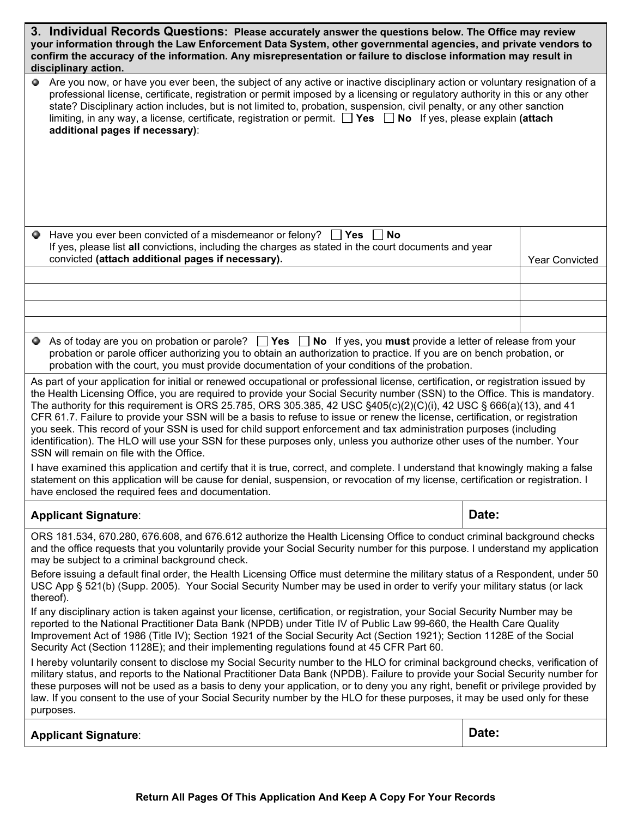| 3. Individual Records Questions: Please accurately answer the questions below. The Office may review<br>your information through the Law Enforcement Data System, other governmental agencies, and private vendors to<br>confirm the accuracy of the information. Any misrepresentation or failure to disclose information may result in<br>disciplinary action.                                                                                                                                                                                                                                                                                                                                                                                                                                                                                                                                                                                                                                                                                                                                                                                                                                                                                                                                                                                                                                                                                                                                                                                                                                                     |       |                       |  |  |  |  |
|----------------------------------------------------------------------------------------------------------------------------------------------------------------------------------------------------------------------------------------------------------------------------------------------------------------------------------------------------------------------------------------------------------------------------------------------------------------------------------------------------------------------------------------------------------------------------------------------------------------------------------------------------------------------------------------------------------------------------------------------------------------------------------------------------------------------------------------------------------------------------------------------------------------------------------------------------------------------------------------------------------------------------------------------------------------------------------------------------------------------------------------------------------------------------------------------------------------------------------------------------------------------------------------------------------------------------------------------------------------------------------------------------------------------------------------------------------------------------------------------------------------------------------------------------------------------------------------------------------------------|-------|-----------------------|--|--|--|--|
| Are you now, or have you ever been, the subject of any active or inactive disciplinary action or voluntary resignation of a<br>Ф.<br>professional license, certificate, registration or permit imposed by a licensing or regulatory authority in this or any other<br>state? Disciplinary action includes, but is not limited to, probation, suspension, civil penalty, or any other sanction<br>limiting, in any way, a license, certificate, registration or permit. <sup>1</sup> Yes 1 No If yes, please explain (attach<br>additional pages if necessary):                                                                                                                                                                                                                                                                                                                                                                                                                                                                                                                                                                                                                                                                                                                                                                                                                                                                                                                                                                                                                                                       |       |                       |  |  |  |  |
| Have you ever been convicted of a misdemeanor or felony? $\Box$ Yes $\Box$ No<br>Ф.<br>If yes, please list all convictions, including the charges as stated in the court documents and year<br>convicted (attach additional pages if necessary).                                                                                                                                                                                                                                                                                                                                                                                                                                                                                                                                                                                                                                                                                                                                                                                                                                                                                                                                                                                                                                                                                                                                                                                                                                                                                                                                                                     |       | <b>Year Convicted</b> |  |  |  |  |
|                                                                                                                                                                                                                                                                                                                                                                                                                                                                                                                                                                                                                                                                                                                                                                                                                                                                                                                                                                                                                                                                                                                                                                                                                                                                                                                                                                                                                                                                                                                                                                                                                      |       |                       |  |  |  |  |
|                                                                                                                                                                                                                                                                                                                                                                                                                                                                                                                                                                                                                                                                                                                                                                                                                                                                                                                                                                                                                                                                                                                                                                                                                                                                                                                                                                                                                                                                                                                                                                                                                      |       |                       |  |  |  |  |
|                                                                                                                                                                                                                                                                                                                                                                                                                                                                                                                                                                                                                                                                                                                                                                                                                                                                                                                                                                                                                                                                                                                                                                                                                                                                                                                                                                                                                                                                                                                                                                                                                      |       |                       |  |  |  |  |
|                                                                                                                                                                                                                                                                                                                                                                                                                                                                                                                                                                                                                                                                                                                                                                                                                                                                                                                                                                                                                                                                                                                                                                                                                                                                                                                                                                                                                                                                                                                                                                                                                      |       |                       |  |  |  |  |
| As of today are you on probation or parole? $\Box$ Yes $\Box$ No If yes, you must provide a letter of release from your<br>probation or parole officer authorizing you to obtain an authorization to practice. If you are on bench probation, or<br>probation with the court, you must provide documentation of your conditions of the probation.                                                                                                                                                                                                                                                                                                                                                                                                                                                                                                                                                                                                                                                                                                                                                                                                                                                                                                                                                                                                                                                                                                                                                                                                                                                                    |       |                       |  |  |  |  |
| As part of your application for initial or renewed occupational or professional license, certification, or registration issued by<br>the Health Licensing Office, you are required to provide your Social Security number (SSN) to the Office. This is mandatory.<br>The authority for this requirement is ORS 25.785, ORS 305.385, 42 USC $\S405(c)(2)(c)(i)$ , 42 USC $\S666(a)(13)$ , and 41<br>CFR 61.7. Failure to provide your SSN will be a basis to refuse to issue or renew the license, certification, or registration<br>you seek. This record of your SSN is used for child support enforcement and tax administration purposes (including<br>identification). The HLO will use your SSN for these purposes only, unless you authorize other uses of the number. Your<br>SSN will remain on file with the Office.<br>I have examined this application and certify that it is true, correct, and complete. I understand that knowingly making a false<br>statement on this application will be cause for denial, suspension, or revocation of my license, certification or registration. I<br>have enclosed the required fees and documentation.                                                                                                                                                                                                                                                                                                                                                                                                                                                          |       |                       |  |  |  |  |
| <b>Applicant Signature:</b>                                                                                                                                                                                                                                                                                                                                                                                                                                                                                                                                                                                                                                                                                                                                                                                                                                                                                                                                                                                                                                                                                                                                                                                                                                                                                                                                                                                                                                                                                                                                                                                          | Date: |                       |  |  |  |  |
| ORS 181.534, 670.280, 676.608, and 676.612 authorize the Health Licensing Office to conduct criminal background checks<br>and the office requests that you voluntarily provide your Social Security number for this purpose. I understand my application<br>may be subject to a criminal background check.<br>Before issuing a default final order, the Health Licensing Office must determine the military status of a Respondent, under 50<br>USC App § 521(b) (Supp. 2005). Your Social Security Number may be used in order to verify your military status (or lack<br>thereof).<br>If any disciplinary action is taken against your license, certification, or registration, your Social Security Number may be<br>reported to the National Practitioner Data Bank (NPDB) under Title IV of Public Law 99-660, the Health Care Quality<br>Improvement Act of 1986 (Title IV); Section 1921 of the Social Security Act (Section 1921); Section 1128E of the Social<br>Security Act (Section 1128E); and their implementing regulations found at 45 CFR Part 60.<br>I hereby voluntarily consent to disclose my Social Security number to the HLO for criminal background checks, verification of<br>military status, and reports to the National Practitioner Data Bank (NPDB). Failure to provide your Social Security number for<br>these purposes will not be used as a basis to deny your application, or to deny you any right, benefit or privilege provided by<br>law. If you consent to the use of your Social Security number by the HLO for these purposes, it may be used only for these<br>purposes. |       |                       |  |  |  |  |
| <b>Applicant Signature:</b>                                                                                                                                                                                                                                                                                                                                                                                                                                                                                                                                                                                                                                                                                                                                                                                                                                                                                                                                                                                                                                                                                                                                                                                                                                                                                                                                                                                                                                                                                                                                                                                          | Date: |                       |  |  |  |  |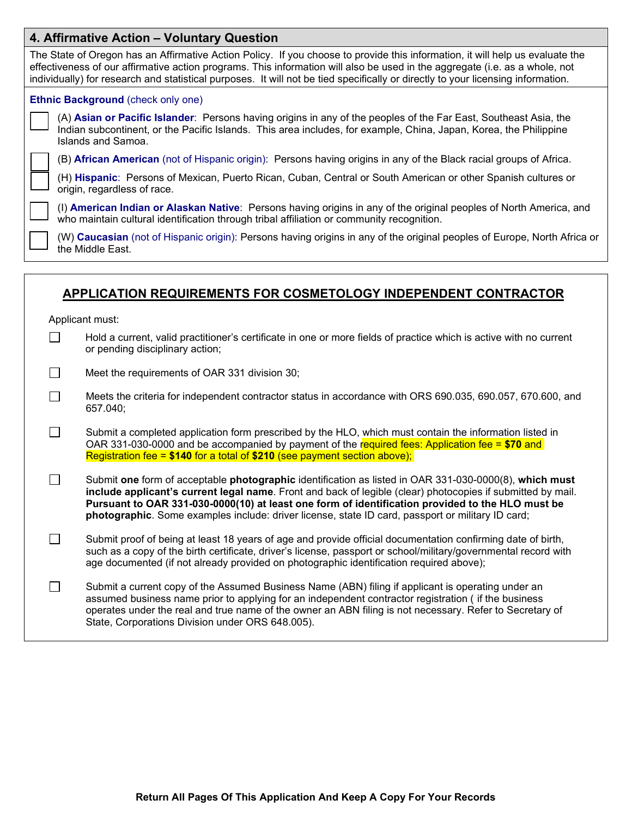## **4. Affirmative Action – Voluntary Question**

| The State of Oregon has an Affirmative Action Policy. If you choose to provide this information, it will help us evaluate the<br>effectiveness of our affirmative action programs. This information will also be used in the aggregate (i.e. as a whole, not<br>individually) for research and statistical purposes. It will not be tied specifically or directly to your licensing information. |                                                                                                                                                                                                                                                             |  |  |  |  |
|--------------------------------------------------------------------------------------------------------------------------------------------------------------------------------------------------------------------------------------------------------------------------------------------------------------------------------------------------------------------------------------------------|-------------------------------------------------------------------------------------------------------------------------------------------------------------------------------------------------------------------------------------------------------------|--|--|--|--|
| <b>Ethnic Background (check only one)</b>                                                                                                                                                                                                                                                                                                                                                        |                                                                                                                                                                                                                                                             |  |  |  |  |
|                                                                                                                                                                                                                                                                                                                                                                                                  | (A) Asian or Pacific Islander: Persons having origins in any of the peoples of the Far East, Southeast Asia, the<br>Indian subcontinent, or the Pacific Islands. This area includes, for example, China, Japan, Korea, the Philippine<br>Islands and Samoa. |  |  |  |  |
|                                                                                                                                                                                                                                                                                                                                                                                                  | (B) African American (not of Hispanic origin): Persons having origins in any of the Black racial groups of Africa.                                                                                                                                          |  |  |  |  |
|                                                                                                                                                                                                                                                                                                                                                                                                  | (H) Hispanic: Persons of Mexican, Puerto Rican, Cuban, Central or South American or other Spanish cultures or<br>origin, regardless of race.                                                                                                                |  |  |  |  |
|                                                                                                                                                                                                                                                                                                                                                                                                  | (I) American Indian or Alaskan Native: Persons having origins in any of the original peoples of North America, and<br>who maintain cultural identification through tribal affiliation or community recognition.                                             |  |  |  |  |
|                                                                                                                                                                                                                                                                                                                                                                                                  | (W) Caucasian (not of Hispanic origin): Persons having origins in any of the original peoples of Europe, North Africa or<br>the Middle East.                                                                                                                |  |  |  |  |
|                                                                                                                                                                                                                                                                                                                                                                                                  |                                                                                                                                                                                                                                                             |  |  |  |  |

# **APPLICATION REQUIREMENTS FOR COSMETOLOGY INDEPENDENT CONTRACTOR**

Applicant must:

 $\Box$ 

 $\Box$ Hold a current, valid practitioner's certificate in one or more fields of practice which is active with no current or pending disciplinary action;

 $\Box$ Meet the requirements of OAR 331 division 30;

Meets the criteria for independent contractor status in accordance with ORS 690.035, 690.057, 670.600, and 657.040;

 $\Box$ Submit a completed application form prescribed by the HLO, which must contain the information listed in OAR 331-030-0000 and be accompanied by payment of the required fees: Application fee = **\$70** and Registration fee = **\$140** for a total of **\$210** (see payment section above);

 $\Box$ Submit **one** form of acceptable **photographic** identification as listed in OAR 331-030-0000(8), **which must include applicant's current legal name**. Front and back of legible (clear) photocopies if submitted by mail. **Pursuant to OAR 331-030-0000(10) at least one form of identification provided to the HLO must be photographic**. Some examples include: driver license, state ID card, passport or military ID card;

 $\Box$ Submit proof of being at least 18 years of age and provide official documentation confirming date of birth, such as a copy of the birth certificate, driver's license, passport or school/military/governmental record with age documented (if not already provided on photographic identification required above);

 $\Box$ Submit a current copy of the Assumed Business Name (ABN) filing if applicant is operating under an assumed business name prior to applying for an independent contractor registration ( if the business operates under the real and true name of the owner an ABN filing is not necessary. Refer to Secretary of State, Corporations Division under ORS 648.005).